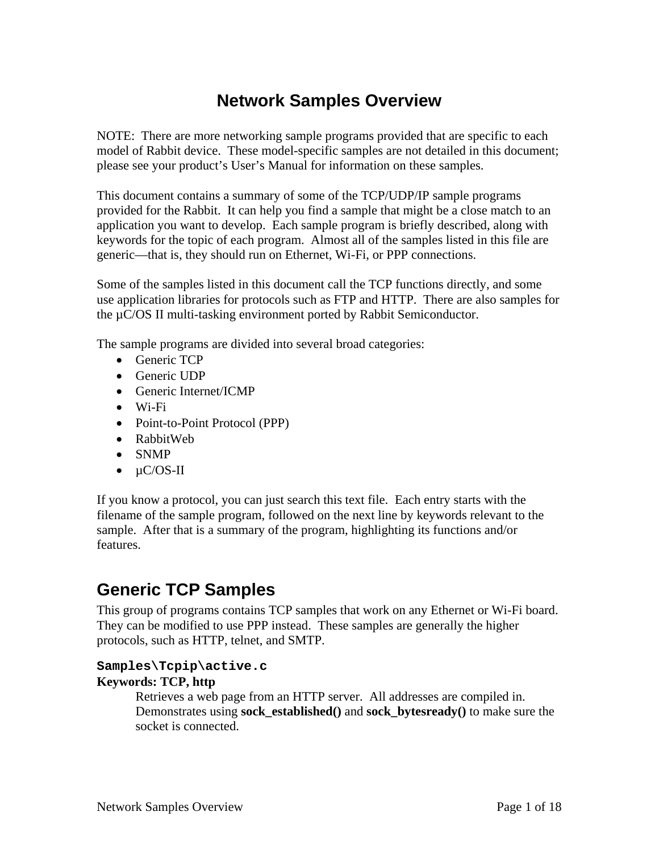# **Network Samples Overview**

NOTE: There are more networking sample programs provided that are specific to each model of Rabbit device. These model-specific samples are not detailed in this document; please see your product's User's Manual for information on these samples.

This document contains a summary of some of the TCP/UDP/IP sample programs provided for the Rabbit. It can help you find a sample that might be a close match to an application you want to develop. Each sample program is briefly described, along with keywords for the topic of each program. Almost all of the samples listed in this file are generic—that is, they should run on Ethernet, Wi-Fi, or PPP connections.

Some of the samples listed in this document call the TCP functions directly, and some use application libraries for protocols such as FTP and HTTP. There are also samples for the µC/OS II multi-tasking environment ported by Rabbit Semiconductor.

The sample programs are divided into several broad categories:

- Generic TCP
- Generic UDP
- Generic Internet/ICMP
- Wi-Fi
- Point-to-Point Protocol (PPP)
- RabbitWeb
- SNMP
- $\bullet$   $\mu$ C/OS-II

If you know a protocol, you can just search this text file. Each entry starts with the filename of the sample program, followed on the next line by keywords relevant to the sample. After that is a summary of the program, highlighting its functions and/or features.

# **Generic TCP Samples**

This group of programs contains TCP samples that work on any Ethernet or Wi-Fi board. They can be modified to use PPP instead. These samples are generally the higher protocols, such as HTTP, telnet, and SMTP.

# **Samples\Tcpip\active.c**

# **Keywords: TCP, http**

Retrieves a web page from an HTTP server. All addresses are compiled in. Demonstrates using **sock\_established()** and **sock\_bytesready()** to make sure the socket is connected.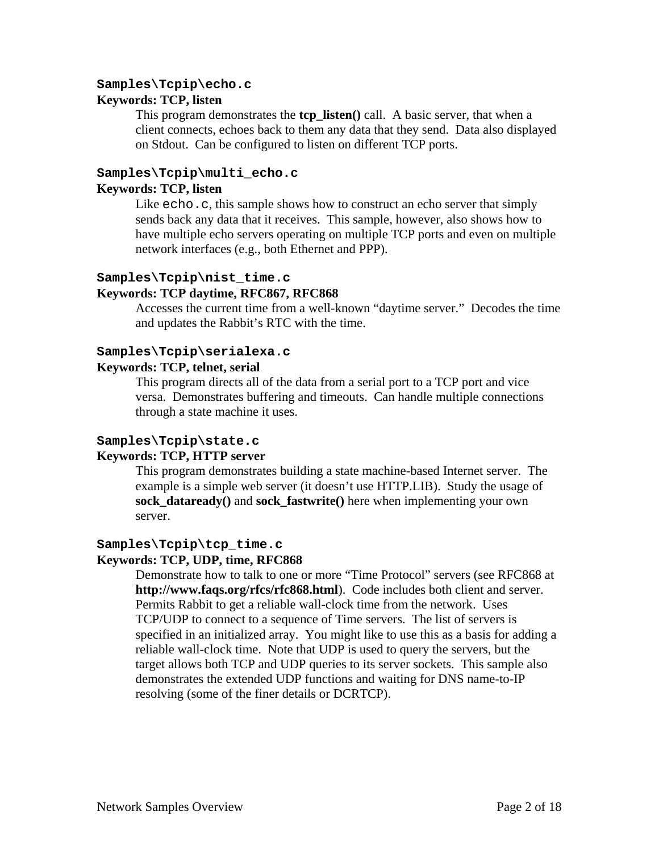#### **Samples\Tcpip\echo.c**

#### **Keywords: TCP, listen**

This program demonstrates the **tcp\_listen()** call. A basic server, that when a client connects, echoes back to them any data that they send. Data also displayed on Stdout. Can be configured to listen on different TCP ports.

#### **Samples\Tcpip\multi\_echo.c**

#### **Keywords: TCP, listen**

Like echo.c, this sample shows how to construct an echo server that simply sends back any data that it receives. This sample, however, also shows how to have multiple echo servers operating on multiple TCP ports and even on multiple network interfaces (e.g., both Ethernet and PPP).

#### **Samples\Tcpip\nist\_time.c**

#### **Keywords: TCP daytime, RFC867, RFC868**

Accesses the current time from a well-known "daytime server." Decodes the time and updates the Rabbit's RTC with the time.

### **Samples\Tcpip\serialexa.c**

#### **Keywords: TCP, telnet, serial**

This program directs all of the data from a serial port to a TCP port and vice versa. Demonstrates buffering and timeouts. Can handle multiple connections through a state machine it uses.

#### **Samples\Tcpip\state.c**

# **Keywords: TCP, HTTP server**

This program demonstrates building a state machine-based Internet server. The example is a simple web server (it doesn't use HTTP.LIB). Study the usage of **sock\_dataready()** and **sock\_fastwrite()** here when implementing your own server.

### **Samples\Tcpip\tcp\_time.c**

#### **Keywords: TCP, UDP, time, RFC868**

Demonstrate how to talk to one or more "Time Protocol" servers (see RFC868 at **http://www.faqs.org/rfcs/rfc868.html**). Code includes both client and server. Permits Rabbit to get a reliable wall-clock time from the network. Uses TCP/UDP to connect to a sequence of Time servers. The list of servers is specified in an initialized array. You might like to use this as a basis for adding a reliable wall-clock time. Note that UDP is used to query the servers, but the target allows both TCP and UDP queries to its server sockets. This sample also demonstrates the extended UDP functions and waiting for DNS name-to-IP resolving (some of the finer details or DCRTCP).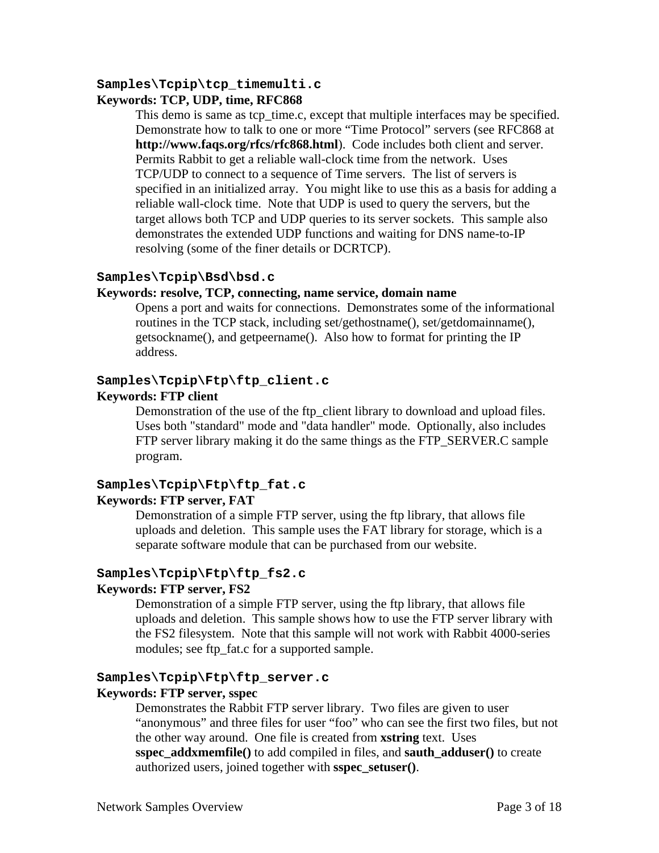# **Samples\Tcpip\tcp\_timemulti.c**

### **Keywords: TCP, UDP, time, RFC868**

This demo is same as tcp\_time.c, except that multiple interfaces may be specified. Demonstrate how to talk to one or more "Time Protocol" servers (see RFC868 at **http://www.faqs.org/rfcs/rfc868.html**). Code includes both client and server. Permits Rabbit to get a reliable wall-clock time from the network. Uses TCP/UDP to connect to a sequence of Time servers. The list of servers is specified in an initialized array. You might like to use this as a basis for adding a reliable wall-clock time. Note that UDP is used to query the servers, but the target allows both TCP and UDP queries to its server sockets. This sample also demonstrates the extended UDP functions and waiting for DNS name-to-IP resolving (some of the finer details or DCRTCP).

#### **Samples\Tcpip\Bsd\bsd.c**

#### **Keywords: resolve, TCP, connecting, name service, domain name**

Opens a port and waits for connections. Demonstrates some of the informational routines in the TCP stack, including set/gethostname(), set/getdomainname(), getsockname(), and getpeername(). Also how to format for printing the IP address.

#### **Samples\Tcpip\Ftp\ftp\_client.c**

#### **Keywords: FTP client**

Demonstration of the use of the ftp\_client library to download and upload files. Uses both "standard" mode and "data handler" mode. Optionally, also includes FTP server library making it do the same things as the FTP SERVER.C sample program.

#### **Samples\Tcpip\Ftp\ftp\_fat.c Keywords: FTP server, FAT**

# Demonstration of a simple FTP server, using the ftp library, that allows file uploads and deletion. This sample uses the FAT library for storage, which is a separate software module that can be purchased from our website.

#### **Samples\Tcpip\Ftp\ftp\_fs2.c**

#### **Keywords: FTP server, FS2**

Demonstration of a simple FTP server, using the ftp library, that allows file uploads and deletion. This sample shows how to use the FTP server library with the FS2 filesystem. Note that this sample will not work with Rabbit 4000-series modules; see ftp\_fat.c for a supported sample.

#### **Samples\Tcpip\Ftp\ftp\_server.c**

#### **Keywords: FTP server, sspec**

Demonstrates the Rabbit FTP server library. Two files are given to user "anonymous" and three files for user "foo" who can see the first two files, but not the other way around. One file is created from **xstring** text. Uses **sspec\_addxmemfile()** to add compiled in files, and **sauth\_adduser()** to create authorized users, joined together with **sspec\_setuser()**.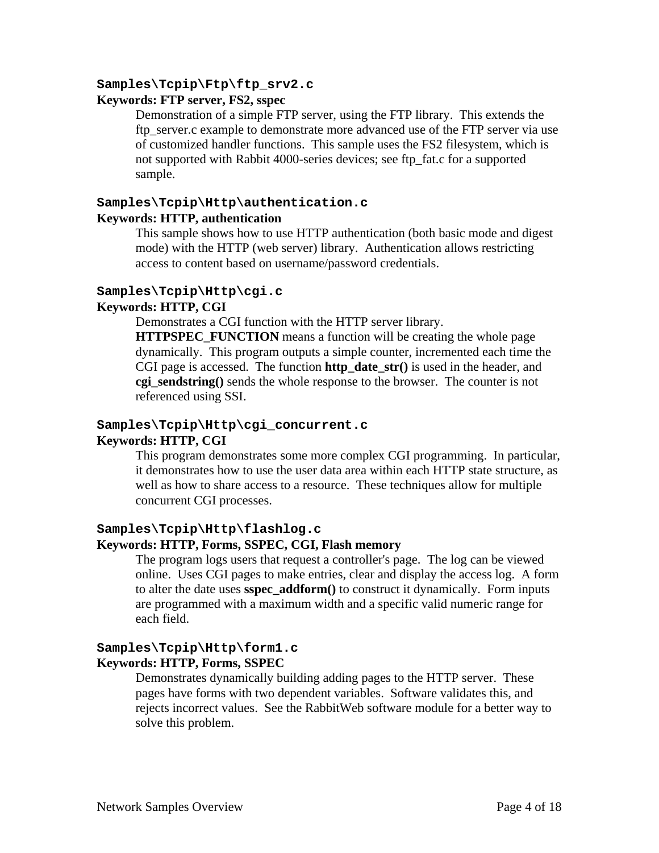#### **Samples\Tcpip\Ftp\ftp\_srv2.c**

#### **Keywords: FTP server, FS2, sspec**

Demonstration of a simple FTP server, using the FTP library. This extends the ftp\_server.c example to demonstrate more advanced use of the FTP server via use of customized handler functions. This sample uses the FS2 filesystem, which is not supported with Rabbit 4000-series devices; see ftp\_fat.c for a supported sample.

# **Samples\Tcpip\Http\authentication.c**

#### **Keywords: HTTP, authentication**

This sample shows how to use HTTP authentication (both basic mode and digest mode) with the HTTP (web server) library. Authentication allows restricting access to content based on username/password credentials.

#### **Samples\Tcpip\Http\cgi.c**

#### **Keywords: HTTP, CGI**

Demonstrates a CGI function with the HTTP server library.

**HTTPSPEC\_FUNCTION** means a function will be creating the whole page dynamically. This program outputs a simple counter, incremented each time the CGI page is accessed. The function **http\_date\_str()** is used in the header, and **cgi\_sendstring()** sends the whole response to the browser. The counter is not referenced using SSI.

# **Samples\Tcpip\Http\cgi\_concurrent.c**

### **Keywords: HTTP, CGI**

This program demonstrates some more complex CGI programming. In particular, it demonstrates how to use the user data area within each HTTP state structure, as well as how to share access to a resource. These techniques allow for multiple concurrent CGI processes.

#### **Samples\Tcpip\Http\flashlog.c**

### **Keywords: HTTP, Forms, SSPEC, CGI, Flash memory**

The program logs users that request a controller's page. The log can be viewed online. Uses CGI pages to make entries, clear and display the access log. A form to alter the date uses **sspec\_addform()** to construct it dynamically. Form inputs are programmed with a maximum width and a specific valid numeric range for each field.

#### **Samples\Tcpip\Http\form1.c Keywords: HTTP, Forms, SSPEC**

Demonstrates dynamically building adding pages to the HTTP server. These pages have forms with two dependent variables. Software validates this, and rejects incorrect values. See the RabbitWeb software module for a better way to solve this problem.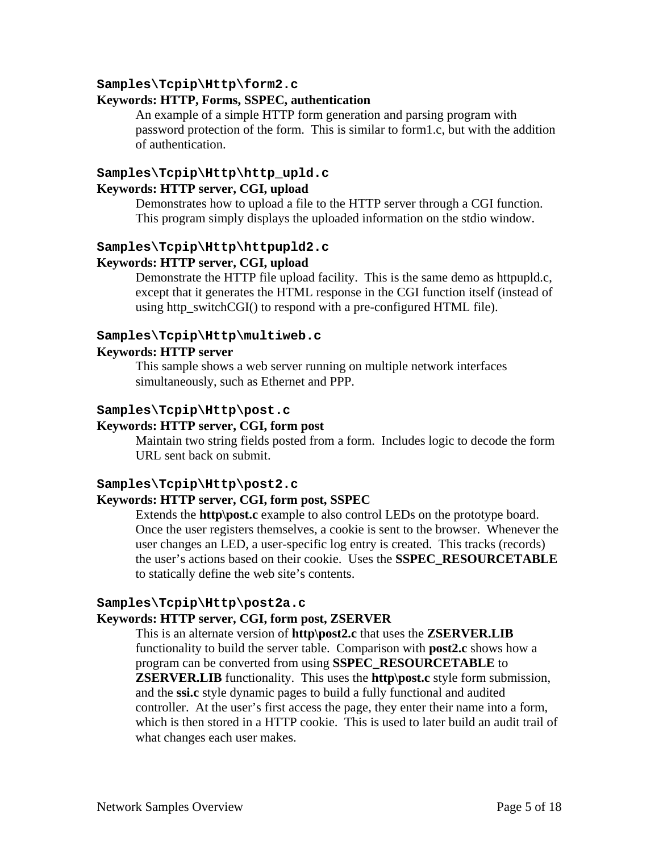#### **Samples\Tcpip\Http\form2.c**

#### **Keywords: HTTP, Forms, SSPEC, authentication**

An example of a simple HTTP form generation and parsing program with password protection of the form. This is similar to form1.c, but with the addition of authentication.

#### **Samples\Tcpip\Http\http\_upld.c Keywords: HTTP server, CGI, upload**

Demonstrates how to upload a file to the HTTP server through a CGI function. This program simply displays the uploaded information on the stdio window.

#### **Samples\Tcpip\Http\httpupld2.c**

#### **Keywords: HTTP server, CGI, upload**

Demonstrate the HTTP file upload facility. This is the same demo as httpupld.c, except that it generates the HTML response in the CGI function itself (instead of using http\_switchCGI() to respond with a pre-configured HTML file).

#### **Samples\Tcpip\Http\multiweb.c**

# **Keywords: HTTP server**

This sample shows a web server running on multiple network interfaces simultaneously, such as Ethernet and PPP.

#### **Samples\Tcpip\Http\post.c**

### **Keywords: HTTP server, CGI, form post**

Maintain two string fields posted from a form. Includes logic to decode the form URL sent back on submit.

#### **Samples\Tcpip\Http\post2.c**

#### **Keywords: HTTP server, CGI, form post, SSPEC**

Extends the **http\post.c** example to also control LEDs on the prototype board. Once the user registers themselves, a cookie is sent to the browser. Whenever the user changes an LED, a user-specific log entry is created. This tracks (records) the user's actions based on their cookie. Uses the **SSPEC\_RESOURCETABLE** to statically define the web site's contents.

#### **Samples\Tcpip\Http\post2a.c**

#### **Keywords: HTTP server, CGI, form post, ZSERVER**

This is an alternate version of **http\post2.c** that uses the **ZSERVER.LIB** functionality to build the server table. Comparison with **post2.c** shows how a program can be converted from using **SSPEC\_RESOURCETABLE** to **ZSERVER.LIB** functionality. This uses the **http\post.c** style form submission, and the **ssi.c** style dynamic pages to build a fully functional and audited controller. At the user's first access the page, they enter their name into a form, which is then stored in a HTTP cookie. This is used to later build an audit trail of what changes each user makes.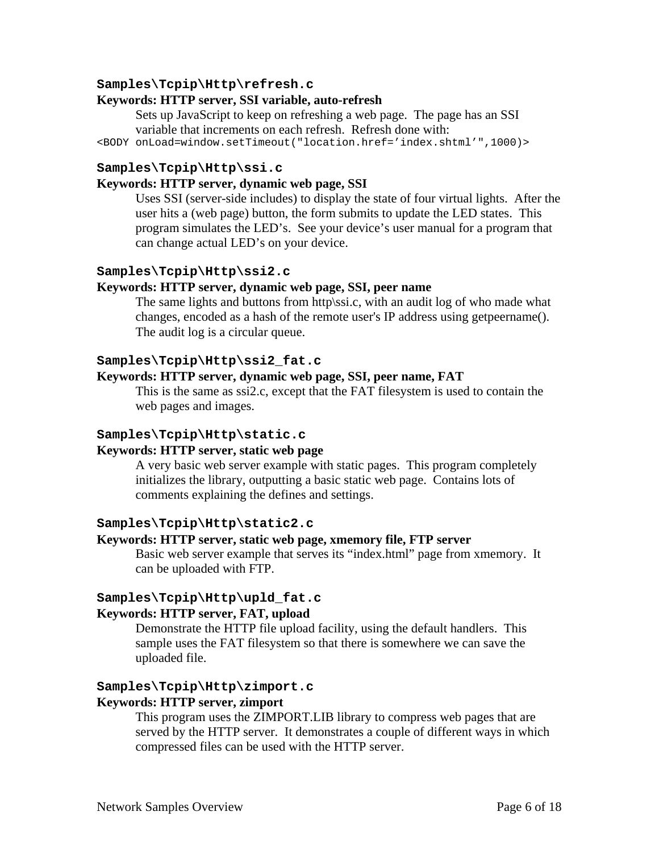#### **Samples\Tcpip\Http\refresh.c**

#### **Keywords: HTTP server, SSI variable, auto-refresh**

Sets up JavaScript to keep on refreshing a web page. The page has an SSI variable that increments on each refresh. Refresh done with:

<BODY onLoad=window.setTimeout("location.href='index.shtml'",1000)>

#### **Samples\Tcpip\Http\ssi.c**

#### **Keywords: HTTP server, dynamic web page, SSI**

Uses SSI (server-side includes) to display the state of four virtual lights. After the user hits a (web page) button, the form submits to update the LED states. This program simulates the LED's. See your device's user manual for a program that can change actual LED's on your device.

#### **Samples\Tcpip\Http\ssi2.c**

#### **Keywords: HTTP server, dynamic web page, SSI, peer name**

The same lights and buttons from http\ssi.c, with an audit log of who made what changes, encoded as a hash of the remote user's IP address using getpeername(). The audit log is a circular queue.

#### **Samples\Tcpip\Http\ssi2\_fat.c**

#### **Keywords: HTTP server, dynamic web page, SSI, peer name, FAT**

This is the same as ssi2.c, except that the FAT filesystem is used to contain the web pages and images.

#### **Samples\Tcpip\Http\static.c**

#### **Keywords: HTTP server, static web page**

A very basic web server example with static pages. This program completely initializes the library, outputting a basic static web page. Contains lots of comments explaining the defines and settings.

#### **Samples\Tcpip\Http\static2.c**

#### **Keywords: HTTP server, static web page, xmemory file, FTP server**

Basic web server example that serves its "index.html" page from xmemory. It can be uploaded with FTP.

# **Samples\Tcpip\Http\upld\_fat.c**

#### **Keywords: HTTP server, FAT, upload**

Demonstrate the HTTP file upload facility, using the default handlers. This sample uses the FAT filesystem so that there is somewhere we can save the uploaded file.

# **Samples\Tcpip\Http\zimport.c**

#### **Keywords: HTTP server, zimport**

This program uses the ZIMPORT.LIB library to compress web pages that are served by the HTTP server. It demonstrates a couple of different ways in which compressed files can be used with the HTTP server.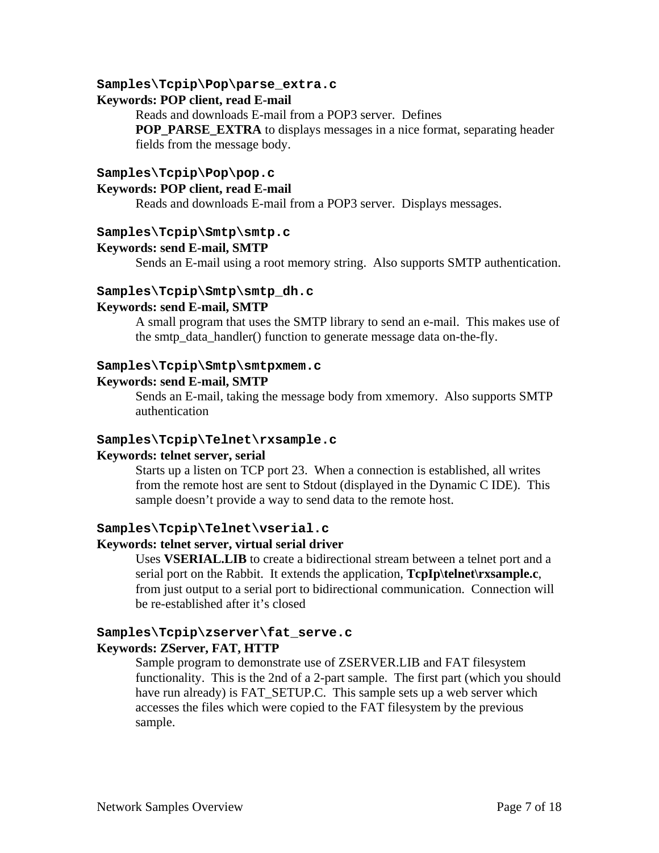#### **Samples\Tcpip\Pop\parse\_extra.c**

#### **Keywords: POP client, read E-mail**

Reads and downloads E-mail from a POP3 server. Defines **POP\_PARSE\_EXTRA** to displays messages in a nice format, separating header fields from the message body.

#### **Samples\Tcpip\Pop\pop.c**

#### **Keywords: POP client, read E-mail**

Reads and downloads E-mail from a POP3 server. Displays messages.

#### **Samples\Tcpip\Smtp\smtp.c**

#### **Keywords: send E-mail, SMTP**

Sends an E-mail using a root memory string. Also supports SMTP authentication.

#### **Samples\Tcpip\Smtp\smtp\_dh.c**

#### **Keywords: send E-mail, SMTP**

A small program that uses the SMTP library to send an e-mail. This makes use of the smtp\_data\_handler() function to generate message data on-the-fly.

#### **Samples\Tcpip\Smtp\smtpxmem.c**

#### **Keywords: send E-mail, SMTP**

Sends an E-mail, taking the message body from xmemory. Also supports SMTP authentication

#### **Samples\Tcpip\Telnet\rxsample.c**

#### **Keywords: telnet server, serial**

Starts up a listen on TCP port 23. When a connection is established, all writes from the remote host are sent to Stdout (displayed in the Dynamic C IDE). This sample doesn't provide a way to send data to the remote host.

#### **Samples\Tcpip\Telnet\vserial.c**

#### **Keywords: telnet server, virtual serial driver**

Uses **VSERIAL.LIB** to create a bidirectional stream between a telnet port and a serial port on the Rabbit. It extends the application, **TcpIp\telnet\rxsample.c**, from just output to a serial port to bidirectional communication. Connection will be re-established after it's closed

#### **Samples\Tcpip\zserver\fat\_serve.c Keywords: ZServer, FAT, HTTP**

Sample program to demonstrate use of ZSERVER.LIB and FAT filesystem functionality. This is the 2nd of a 2-part sample. The first part (which you should have run already) is FAT\_SETUP.C. This sample sets up a web server which accesses the files which were copied to the FAT filesystem by the previous sample.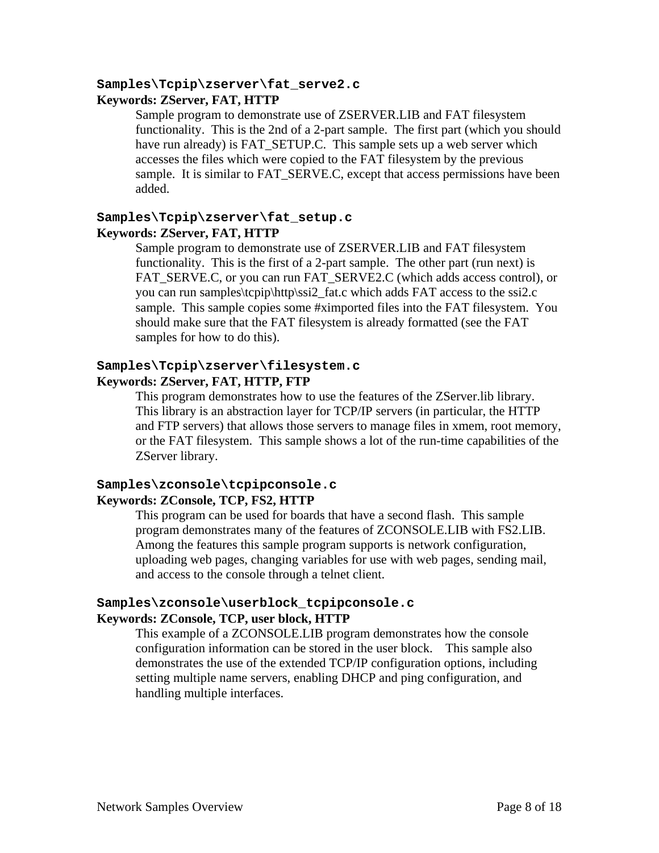#### **Samples\Tcpip\zserver\fat\_serve2.c Keywords: ZServer, FAT, HTTP**

Sample program to demonstrate use of ZSERVER.LIB and FAT filesystem functionality. This is the 2nd of a 2-part sample. The first part (which you should have run already) is FAT\_SETUP.C. This sample sets up a web server which accesses the files which were copied to the FAT filesystem by the previous sample. It is similar to FAT\_SERVE.C, except that access permissions have been added.

# **Samples\Tcpip\zserver\fat\_setup.c Keywords: ZServer, FAT, HTTP**

Sample program to demonstrate use of ZSERVER.LIB and FAT filesystem functionality. This is the first of a 2-part sample. The other part (run next) is FAT\_SERVE.C, or you can run FAT\_SERVE2.C (which adds access control), or you can run samples\tcpip\http\ssi2\_fat.c which adds FAT access to the ssi2.c sample. This sample copies some #ximported files into the FAT filesystem. You should make sure that the FAT filesystem is already formatted (see the FAT samples for how to do this).

# **Samples\Tcpip\zserver\filesystem.c Keywords: ZServer, FAT, HTTP, FTP**

This program demonstrates how to use the features of the ZServer.lib library. This library is an abstraction layer for TCP/IP servers (in particular, the HTTP and FTP servers) that allows those servers to manage files in xmem, root memory, or the FAT filesystem. This sample shows a lot of the run-time capabilities of the ZServer library.

# **Samples\zconsole\tcpipconsole.c Keywords: ZConsole, TCP, FS2, HTTP**

This program can be used for boards that have a second flash. This sample program demonstrates many of the features of ZCONSOLE.LIB with FS2.LIB. Among the features this sample program supports is network configuration, uploading web pages, changing variables for use with web pages, sending mail, and access to the console through a telnet client.

# **Samples\zconsole\userblock\_tcpipconsole.c Keywords: ZConsole, TCP, user block, HTTP**

This example of a ZCONSOLE.LIB program demonstrates how the console configuration information can be stored in the user block. This sample also demonstrates the use of the extended TCP/IP configuration options, including setting multiple name servers, enabling DHCP and ping configuration, and handling multiple interfaces.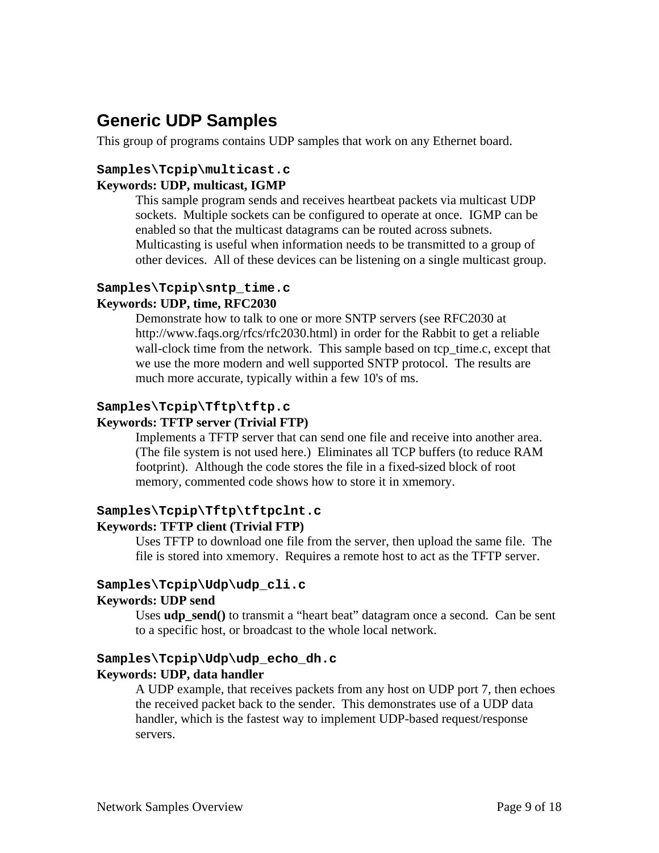# **Generic UDP Samples**

This group of programs contains UDP samples that work on any Ethernet board.

#### **Samples\Tcpip\multicast.c**

#### **Keywords: UDP, multicast, IGMP**

This sample program sends and receives heartbeat packets via multicast UDP sockets. Multiple sockets can be configured to operate at once. IGMP can be enabled so that the multicast datagrams can be routed across subnets. Multicasting is useful when information needs to be transmitted to a group of other devices. All of these devices can be listening on a single multicast group.

# **Samples\Tcpip\sntp\_time.c**

#### **Keywords: UDP, time, RFC2030**

Demonstrate how to talk to one or more SNTP servers (see RFC2030 at http://www.faqs.org/rfcs/rfc2030.html) in order for the Rabbit to get a reliable wall-clock time from the network. This sample based on tcp\_time.c, except that we use the more modern and well supported SNTP protocol. The results are much more accurate, typically within a few 10's of ms.

# **Samples\Tcpip\Tftp\tftp.c**

#### **Keywords: TFTP server (Trivial FTP)**

Implements a TFTP server that can send one file and receive into another area. (The file system is not used here.) Eliminates all TCP buffers (to reduce RAM footprint). Although the code stores the file in a fixed-sized block of root memory, commented code shows how to store it in xmemory.

#### **Samples\Tcpip\Tftp\tftpclnt.c Keywords: TFTP client (Trivial FTP)**

Uses TFTP to download one file from the server, then upload the same file. The file is stored into xmemory. Requires a remote host to act as the TFTP server.

#### **Samples\Tcpip\Udp\udp\_cli.c**

#### **Keywords: UDP send**

Uses **udp\_send**() to transmit a "heart beat" datagram once a second. Can be sent to a specific host, or broadcast to the whole local network.

# **Samples\Tcpip\Udp\udp\_echo\_dh.c**

### **Keywords: UDP, data handler**

A UDP example, that receives packets from any host on UDP port 7, then echoes the received packet back to the sender. This demonstrates use of a UDP data handler, which is the fastest way to implement UDP-based request/response servers.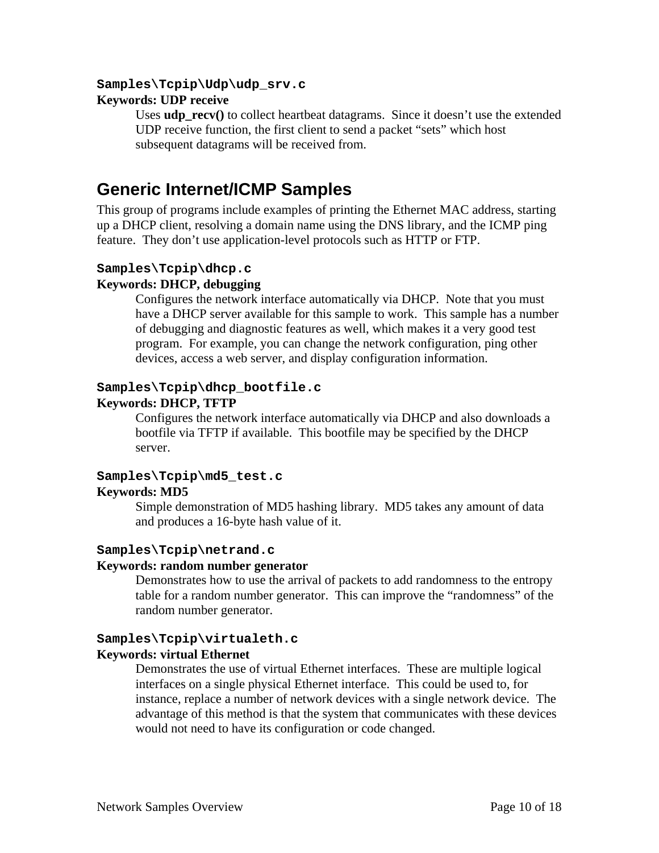#### **Samples\Tcpip\Udp\udp\_srv.c**

#### **Keywords: UDP receive**

Uses **udp** recv() to collect heartbeat datagrams. Since it doesn't use the extended UDP receive function, the first client to send a packet "sets" which host subsequent datagrams will be received from.

# **Generic Internet/ICMP Samples**

This group of programs include examples of printing the Ethernet MAC address, starting up a DHCP client, resolving a domain name using the DNS library, and the ICMP ping feature. They don't use application-level protocols such as HTTP or FTP.

#### **Samples\Tcpip\dhcp.c Keywords: DHCP, debugging**

Configures the network interface automatically via DHCP. Note that you must have a DHCP server available for this sample to work. This sample has a number of debugging and diagnostic features as well, which makes it a very good test program. For example, you can change the network configuration, ping other devices, access a web server, and display configuration information.

# **Samples\Tcpip\dhcp\_bootfile.c**

# **Keywords: DHCP, TFTP**

Configures the network interface automatically via DHCP and also downloads a bootfile via TFTP if available. This bootfile may be specified by the DHCP server.

### **Samples\Tcpip\md5\_test.c Keywords: MD5**

Simple demonstration of MD5 hashing library. MD5 takes any amount of data and produces a 16-byte hash value of it.

# **Samples\Tcpip\netrand.c**

#### **Keywords: random number generator**

Demonstrates how to use the arrival of packets to add randomness to the entropy table for a random number generator. This can improve the "randomness" of the random number generator.

# **Samples\Tcpip\virtualeth.c**

#### **Keywords: virtual Ethernet**

Demonstrates the use of virtual Ethernet interfaces. These are multiple logical interfaces on a single physical Ethernet interface. This could be used to, for instance, replace a number of network devices with a single network device. The advantage of this method is that the system that communicates with these devices would not need to have its configuration or code changed.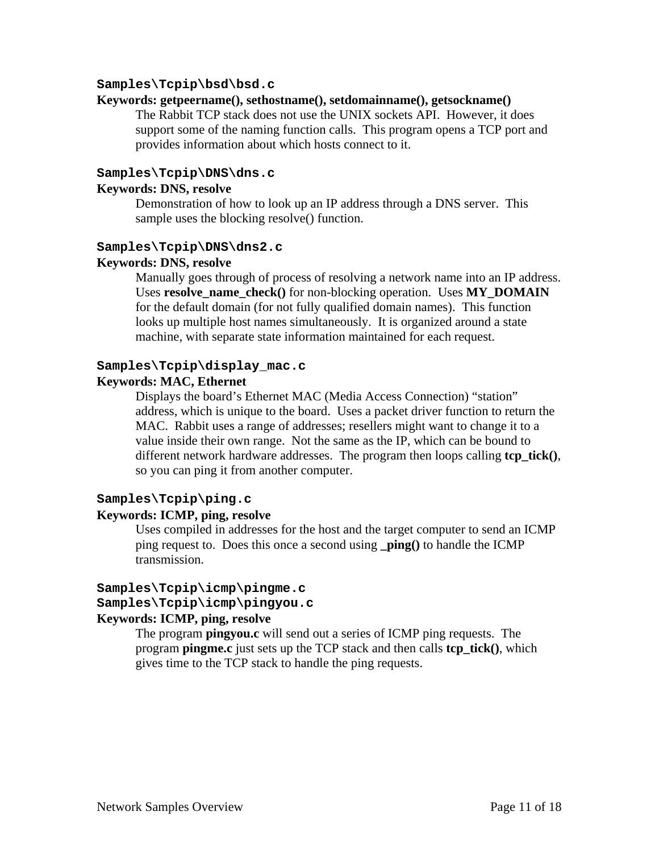#### **Samples\Tcpip\bsd\bsd.c**

#### **Keywords: getpeername(), sethostname(), setdomainname(), getsockname()**

The Rabbit TCP stack does not use the UNIX sockets API. However, it does support some of the naming function calls. This program opens a TCP port and provides information about which hosts connect to it.

#### **Samples\Tcpip\DNS\dns.c**

#### **Keywords: DNS, resolve**

Demonstration of how to look up an IP address through a DNS server. This sample uses the blocking resolve() function.

#### **Samples\Tcpip\DNS\dns2.c**

#### **Keywords: DNS, resolve**

Manually goes through of process of resolving a network name into an IP address. Uses **resolve** name check() for non-blocking operation. Uses **MY\_DOMAIN** for the default domain (for not fully qualified domain names). This function looks up multiple host names simultaneously. It is organized around a state machine, with separate state information maintained for each request.

#### **Samples\Tcpip\display\_mac.c**

#### **Keywords: MAC, Ethernet**

Displays the board's Ethernet MAC (Media Access Connection) "station" address, which is unique to the board. Uses a packet driver function to return the MAC. Rabbit uses a range of addresses; resellers might want to change it to a value inside their own range. Not the same as the IP, which can be bound to different network hardware addresses. The program then loops calling **tcp\_tick()**, so you can ping it from another computer.

# **Samples\Tcpip\ping.c**

#### **Keywords: ICMP, ping, resolve**

Uses compiled in addresses for the host and the target computer to send an ICMP ping request to. Does this once a second using **\_ping()** to handle the ICMP transmission.

#### **Samples\Tcpip\icmp\pingme.c Samples\Tcpip\icmp\pingyou.c**

#### **Keywords: ICMP, ping, resolve**

The program **pingyou.c** will send out a series of ICMP ping requests. The program **pingme.c** just sets up the TCP stack and then calls **tcp\_tick()**, which gives time to the TCP stack to handle the ping requests.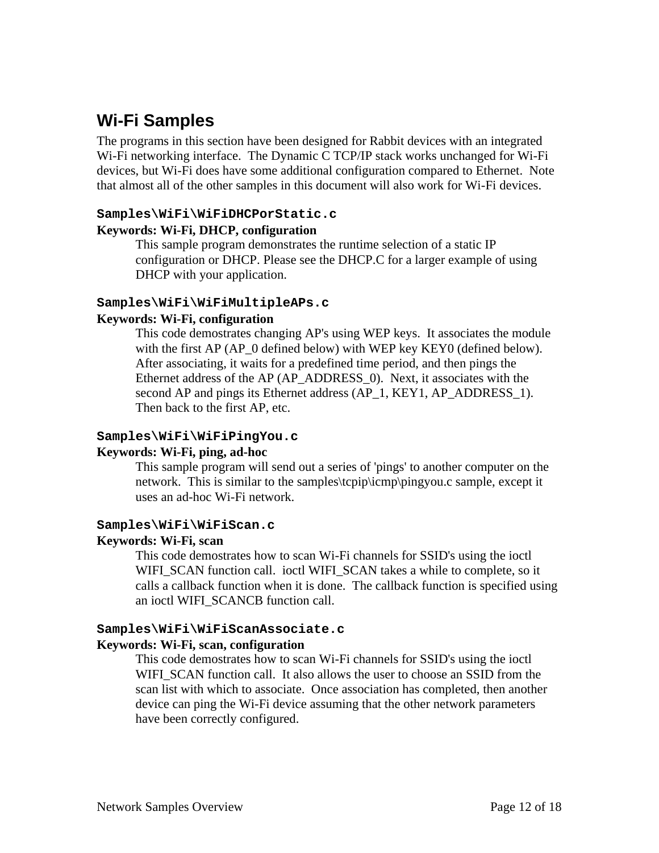# **Wi-Fi Samples**

The programs in this section have been designed for Rabbit devices with an integrated Wi-Fi networking interface. The Dynamic C TCP/IP stack works unchanged for Wi-Fi devices, but Wi-Fi does have some additional configuration compared to Ethernet. Note that almost all of the other samples in this document will also work for Wi-Fi devices.

#### **Samples\WiFi\WiFiDHCPorStatic.c**

#### **Keywords: Wi-Fi, DHCP, configuration**

This sample program demonstrates the runtime selection of a static IP configuration or DHCP. Please see the DHCP.C for a larger example of using DHCP with your application.

#### **Samples\WiFi\WiFiMultipleAPs.c**

#### **Keywords: Wi-Fi, configuration**

This code demostrates changing AP's using WEP keys. It associates the module with the first AP (AP\_0 defined below) with WEP key KEY0 (defined below). After associating, it waits for a predefined time period, and then pings the Ethernet address of the AP (AP\_ADDRESS\_0). Next, it associates with the second AP and pings its Ethernet address (AP\_1, KEY1, AP\_ADDRESS\_1). Then back to the first AP, etc.

#### **Samples\WiFi\WiFiPingYou.c**

#### **Keywords: Wi-Fi, ping, ad-hoc**

This sample program will send out a series of 'pings' to another computer on the network. This is similar to the samples\tcpip\icmp\pingyou.c sample, except it uses an ad-hoc Wi-Fi network.

#### **Samples\WiFi\WiFiScan.c**

#### **Keywords: Wi-Fi, scan**

This code demostrates how to scan Wi-Fi channels for SSID's using the ioctl WIFI\_SCAN function call. ioctl WIFI\_SCAN takes a while to complete, so it calls a callback function when it is done. The callback function is specified using an ioctl WIFI\_SCANCB function call.

#### **Samples\WiFi\WiFiScanAssociate.c**

#### **Keywords: Wi-Fi, scan, configuration**

This code demostrates how to scan Wi-Fi channels for SSID's using the ioctl WIFI\_SCAN function call. It also allows the user to choose an SSID from the scan list with which to associate. Once association has completed, then another device can ping the Wi-Fi device assuming that the other network parameters have been correctly configured.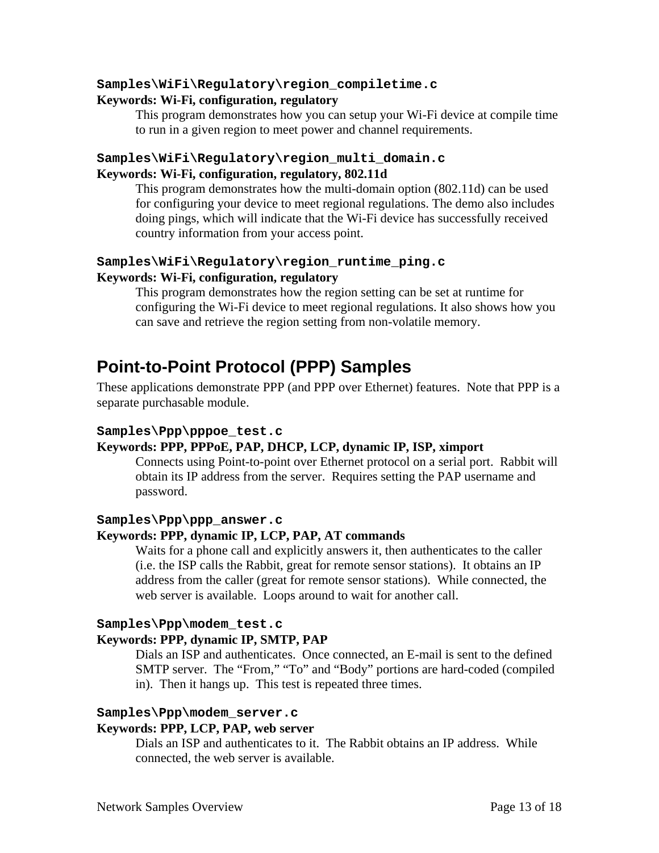#### **Samples\WiFi\Regulatory\region\_compiletime.c**

#### **Keywords: Wi-Fi, configuration, regulatory**

This program demonstrates how you can setup your Wi-Fi device at compile time to run in a given region to meet power and channel requirements.

### **Samples\WiFi\Regulatory\region\_multi\_domain.c Keywords: Wi-Fi, configuration, regulatory, 802.11d**

This program demonstrates how the multi-domain option (802.11d) can be used for configuring your device to meet regional regulations. The demo also includes doing pings, which will indicate that the Wi-Fi device has successfully received country information from your access point.

# **Samples\WiFi\Regulatory\region\_runtime\_ping.c Keywords: Wi-Fi, configuration, regulatory**

This program demonstrates how the region setting can be set at runtime for configuring the Wi-Fi device to meet regional regulations. It also shows how you can save and retrieve the region setting from non-volatile memory.

# **Point-to-Point Protocol (PPP) Samples**

These applications demonstrate PPP (and PPP over Ethernet) features. Note that PPP is a separate purchasable module.

#### **Samples\Ppp\pppoe\_test.c**

# **Keywords: PPP, PPPoE, PAP, DHCP, LCP, dynamic IP, ISP, ximport**

Connects using Point-to-point over Ethernet protocol on a serial port. Rabbit will obtain its IP address from the server. Requires setting the PAP username and password.

#### **Samples\Ppp\ppp\_answer.c**

#### **Keywords: PPP, dynamic IP, LCP, PAP, AT commands**

Waits for a phone call and explicitly answers it, then authenticates to the caller (i.e. the ISP calls the Rabbit, great for remote sensor stations). It obtains an IP address from the caller (great for remote sensor stations). While connected, the web server is available. Loops around to wait for another call.

#### **Samples\Ppp\modem\_test.c**

### **Keywords: PPP, dynamic IP, SMTP, PAP**

Dials an ISP and authenticates. Once connected, an E-mail is sent to the defined SMTP server. The "From," "To" and "Body" portions are hard-coded (compiled in). Then it hangs up. This test is repeated three times.

# **Samples\Ppp\modem\_server.c**

# **Keywords: PPP, LCP, PAP, web server**

Dials an ISP and authenticates to it. The Rabbit obtains an IP address. While connected, the web server is available.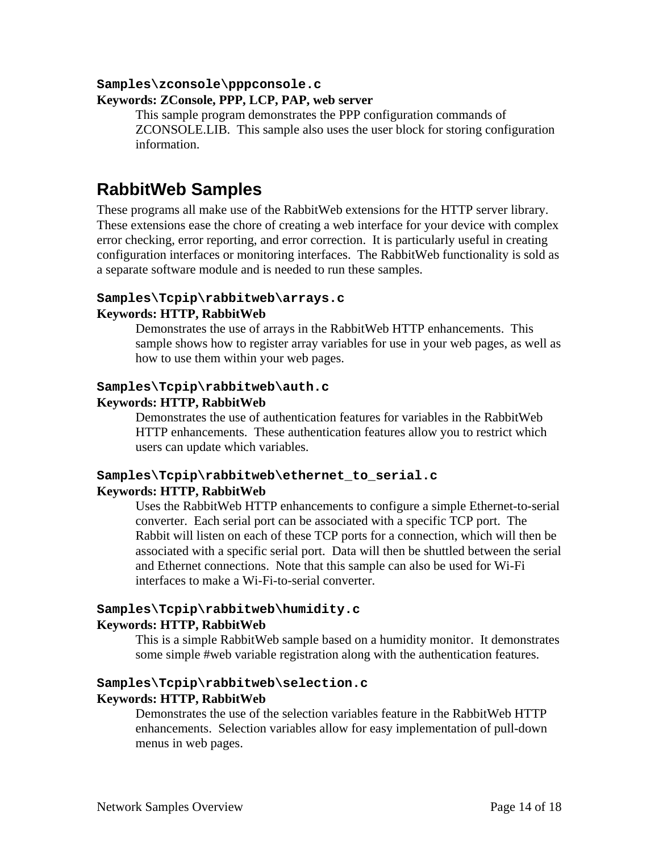#### **Samples\zconsole\pppconsole.c**

#### **Keywords: ZConsole, PPP, LCP, PAP, web server**

This sample program demonstrates the PPP configuration commands of ZCONSOLE.LIB. This sample also uses the user block for storing configuration information.

# **RabbitWeb Samples**

These programs all make use of the RabbitWeb extensions for the HTTP server library. These extensions ease the chore of creating a web interface for your device with complex error checking, error reporting, and error correction. It is particularly useful in creating configuration interfaces or monitoring interfaces. The RabbitWeb functionality is sold as a separate software module and is needed to run these samples.

#### **Samples\Tcpip\rabbitweb\arrays.c**

#### **Keywords: HTTP, RabbitWeb**

Demonstrates the use of arrays in the RabbitWeb HTTP enhancements. This sample shows how to register array variables for use in your web pages, as well as how to use them within your web pages.

#### **Samples\Tcpip\rabbitweb\auth.c**

#### **Keywords: HTTP, RabbitWeb**

Demonstrates the use of authentication features for variables in the RabbitWeb HTTP enhancements. These authentication features allow you to restrict which users can update which variables.

#### **Samples\Tcpip\rabbitweb\ethernet\_to\_serial.c Keywords: HTTP, RabbitWeb**

Uses the RabbitWeb HTTP enhancements to configure a simple Ethernet-to-serial converter. Each serial port can be associated with a specific TCP port. The Rabbit will listen on each of these TCP ports for a connection, which will then be associated with a specific serial port. Data will then be shuttled between the serial and Ethernet connections. Note that this sample can also be used for Wi-Fi interfaces to make a Wi-Fi-to-serial converter.

# **Samples\Tcpip\rabbitweb\humidity.c**

#### **Keywords: HTTP, RabbitWeb**

This is a simple RabbitWeb sample based on a humidity monitor. It demonstrates some simple #web variable registration along with the authentication features.

#### **Samples\Tcpip\rabbitweb\selection.c Keywords: HTTP, RabbitWeb**

Demonstrates the use of the selection variables feature in the RabbitWeb HTTP enhancements. Selection variables allow for easy implementation of pull-down menus in web pages.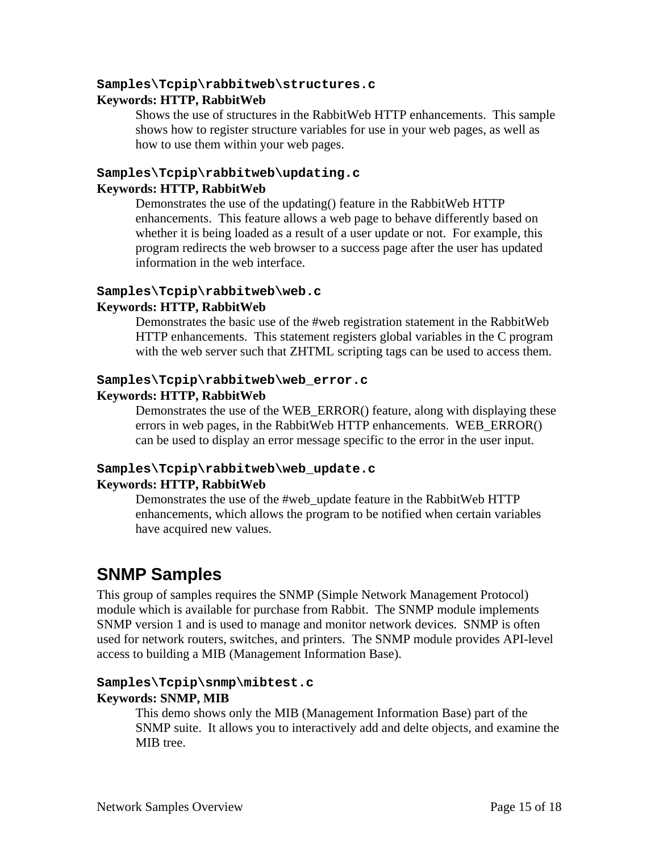#### **Samples\Tcpip\rabbitweb\structures.c**

#### **Keywords: HTTP, RabbitWeb**

Shows the use of structures in the RabbitWeb HTTP enhancements. This sample shows how to register structure variables for use in your web pages, as well as how to use them within your web pages.

#### **Samples\Tcpip\rabbitweb\updating.c Keywords: HTTP, RabbitWeb**

Demonstrates the use of the updating() feature in the RabbitWeb HTTP enhancements. This feature allows a web page to behave differently based on whether it is being loaded as a result of a user update or not. For example, this program redirects the web browser to a success page after the user has updated information in the web interface.

#### **Samples\Tcpip\rabbitweb\web.c**

#### **Keywords: HTTP, RabbitWeb**

Demonstrates the basic use of the #web registration statement in the RabbitWeb HTTP enhancements. This statement registers global variables in the C program with the web server such that ZHTML scripting tags can be used to access them.

#### **Samples\Tcpip\rabbitweb\web\_error.c**

#### **Keywords: HTTP, RabbitWeb**

Demonstrates the use of the WEB\_ERROR() feature, along with displaying these errors in web pages, in the RabbitWeb HTTP enhancements. WEB\_ERROR() can be used to display an error message specific to the error in the user input.

# **Samples\Tcpip\rabbitweb\web\_update.c**

#### **Keywords: HTTP, RabbitWeb**

Demonstrates the use of the #web\_update feature in the RabbitWeb HTTP enhancements, which allows the program to be notified when certain variables have acquired new values.

# **SNMP Samples**

This group of samples requires the SNMP (Simple Network Management Protocol) module which is available for purchase from Rabbit. The SNMP module implements SNMP version 1 and is used to manage and monitor network devices. SNMP is often used for network routers, switches, and printers. The SNMP module provides API-level access to building a MIB (Management Information Base).

#### **Samples\Tcpip\snmp\mibtest.c**

#### **Keywords: SNMP, MIB**

This demo shows only the MIB (Management Information Base) part of the SNMP suite. It allows you to interactively add and delte objects, and examine the MIB tree.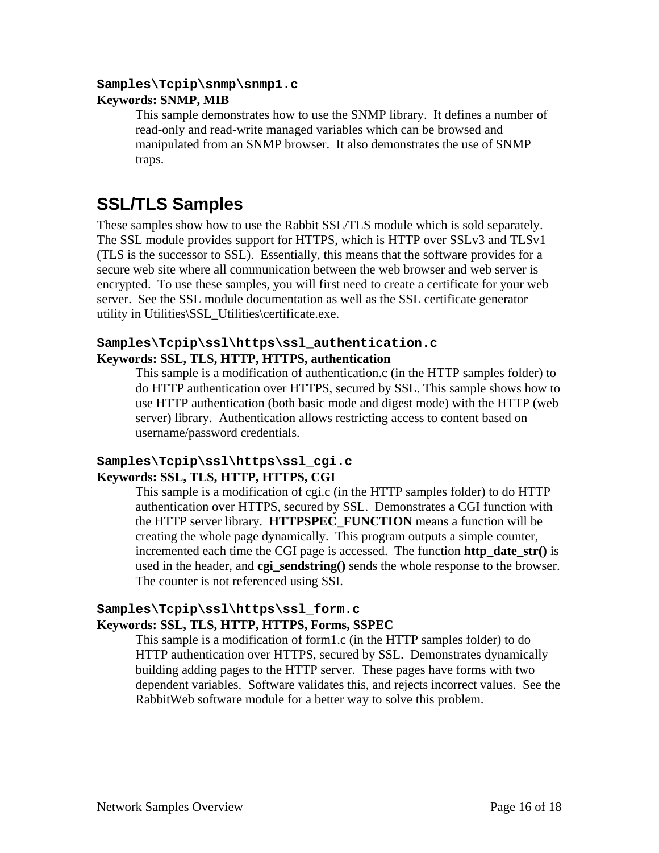#### **Samples\Tcpip\snmp\snmp1.c**

#### **Keywords: SNMP, MIB**

This sample demonstrates how to use the SNMP library. It defines a number of read-only and read-write managed variables which can be browsed and manipulated from an SNMP browser. It also demonstrates the use of SNMP traps.

# **SSL/TLS Samples**

These samples show how to use the Rabbit SSL/TLS module which is sold separately. The SSL module provides support for HTTPS, which is HTTP over SSLv3 and TLSv1 (TLS is the successor to SSL). Essentially, this means that the software provides for a secure web site where all communication between the web browser and web server is encrypted. To use these samples, you will first need to create a certificate for your web server. See the SSL module documentation as well as the SSL certificate generator utility in Utilities\SSL\_Utilities\certificate.exe.

### **Samples\Tcpip\ssl\https\ssl\_authentication.c Keywords: SSL, TLS, HTTP, HTTPS, authentication**

This sample is a modification of authentication.c (in the HTTP samples folder) to do HTTP authentication over HTTPS, secured by SSL. This sample shows how to use HTTP authentication (both basic mode and digest mode) with the HTTP (web server) library. Authentication allows restricting access to content based on username/password credentials.

# **Samples\Tcpip\ssl\https\ssl\_cgi.c Keywords: SSL, TLS, HTTP, HTTPS, CGI**

This sample is a modification of cgi.c (in the HTTP samples folder) to do HTTP authentication over HTTPS, secured by SSL. Demonstrates a CGI function with the HTTP server library. **HTTPSPEC\_FUNCTION** means a function will be creating the whole page dynamically. This program outputs a simple counter, incremented each time the CGI page is accessed. The function **http\_date\_str()** is used in the header, and **cgi\_sendstring()** sends the whole response to the browser. The counter is not referenced using SSI.

### **Samples\Tcpip\ssl\https\ssl\_form.c Keywords: SSL, TLS, HTTP, HTTPS, Forms, SSPEC**

This sample is a modification of form1.c (in the HTTP samples folder) to do HTTP authentication over HTTPS, secured by SSL. Demonstrates dynamically building adding pages to the HTTP server. These pages have forms with two dependent variables. Software validates this, and rejects incorrect values. See the RabbitWeb software module for a better way to solve this problem.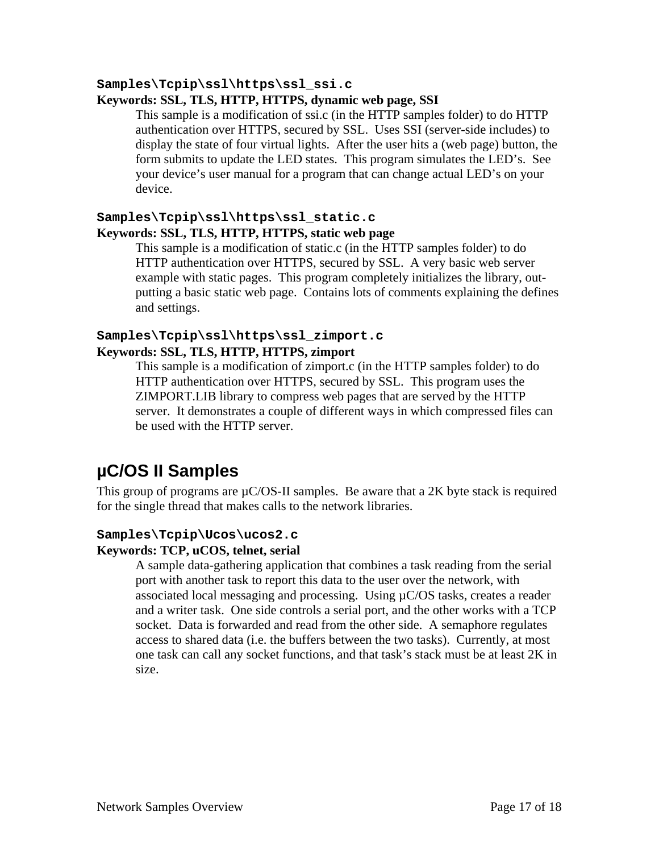#### **Samples\Tcpip\ssl\https\ssl\_ssi.c**

#### **Keywords: SSL, TLS, HTTP, HTTPS, dynamic web page, SSI**

This sample is a modification of ssi.c (in the HTTP samples folder) to do HTTP authentication over HTTPS, secured by SSL. Uses SSI (server-side includes) to display the state of four virtual lights. After the user hits a (web page) button, the form submits to update the LED states. This program simulates the LED's. See your device's user manual for a program that can change actual LED's on your device.

#### **Samples\Tcpip\ssl\https\ssl\_static.c Keywords: SSL, TLS, HTTP, HTTPS, static web page**

This sample is a modification of static.c (in the HTTP samples folder) to do HTTP authentication over HTTPS, secured by SSL. A very basic web server example with static pages. This program completely initializes the library, outputting a basic static web page. Contains lots of comments explaining the defines and settings.

### **Samples\Tcpip\ssl\https\ssl\_zimport.c Keywords: SSL, TLS, HTTP, HTTPS, zimport**

This sample is a modification of zimport.c (in the HTTP samples folder) to do HTTP authentication over HTTPS, secured by SSL. This program uses the ZIMPORT.LIB library to compress web pages that are served by the HTTP server. It demonstrates a couple of different ways in which compressed files can be used with the HTTP server.

# **µC/OS II Samples**

This group of programs are  $\mu$ C/OS-II samples. Be aware that a 2K byte stack is required for the single thread that makes calls to the network libraries.

#### **Samples\Tcpip\Ucos\ucos2.c**

#### **Keywords: TCP, uCOS, telnet, serial**

A sample data-gathering application that combines a task reading from the serial port with another task to report this data to the user over the network, with associated local messaging and processing. Using µC/OS tasks, creates a reader and a writer task. One side controls a serial port, and the other works with a TCP socket. Data is forwarded and read from the other side. A semaphore regulates access to shared data (i.e. the buffers between the two tasks). Currently, at most one task can call any socket functions, and that task's stack must be at least 2K in size.